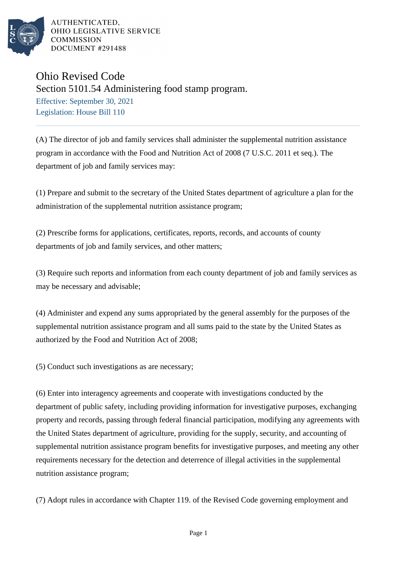

## Ohio Revised Code Section 5101.54 Administering food stamp program.

Effective: September 30, 2021 Legislation: House Bill 110

(A) The director of job and family services shall administer the supplemental nutrition assistance program in accordance with the Food and Nutrition Act of 2008 (7 U.S.C. 2011 et seq.). The department of job and family services may:

(1) Prepare and submit to the secretary of the United States department of agriculture a plan for the administration of the supplemental nutrition assistance program;

(2) Prescribe forms for applications, certificates, reports, records, and accounts of county departments of job and family services, and other matters;

(3) Require such reports and information from each county department of job and family services as may be necessary and advisable;

(4) Administer and expend any sums appropriated by the general assembly for the purposes of the supplemental nutrition assistance program and all sums paid to the state by the United States as authorized by the Food and Nutrition Act of 2008;

(5) Conduct such investigations as are necessary;

(6) Enter into interagency agreements and cooperate with investigations conducted by the department of public safety, including providing information for investigative purposes, exchanging property and records, passing through federal financial participation, modifying any agreements with the United States department of agriculture, providing for the supply, security, and accounting of supplemental nutrition assistance program benefits for investigative purposes, and meeting any other requirements necessary for the detection and deterrence of illegal activities in the supplemental nutrition assistance program;

(7) Adopt rules in accordance with Chapter 119. of the Revised Code governing employment and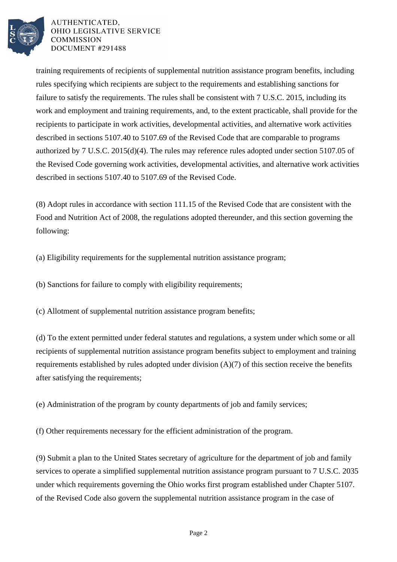

training requirements of recipients of supplemental nutrition assistance program benefits, including rules specifying which recipients are subject to the requirements and establishing sanctions for failure to satisfy the requirements. The rules shall be consistent with 7 U.S.C. 2015, including its work and employment and training requirements, and, to the extent practicable, shall provide for the recipients to participate in work activities, developmental activities, and alternative work activities described in sections 5107.40 to 5107.69 of the Revised Code that are comparable to programs authorized by 7 U.S.C. 2015(d)(4). The rules may reference rules adopted under section 5107.05 of the Revised Code governing work activities, developmental activities, and alternative work activities described in sections 5107.40 to 5107.69 of the Revised Code.

(8) Adopt rules in accordance with section 111.15 of the Revised Code that are consistent with the Food and Nutrition Act of 2008, the regulations adopted thereunder, and this section governing the following:

(a) Eligibility requirements for the supplemental nutrition assistance program;

(b) Sanctions for failure to comply with eligibility requirements;

(c) Allotment of supplemental nutrition assistance program benefits;

(d) To the extent permitted under federal statutes and regulations, a system under which some or all recipients of supplemental nutrition assistance program benefits subject to employment and training requirements established by rules adopted under division (A)(7) of this section receive the benefits after satisfying the requirements;

(e) Administration of the program by county departments of job and family services;

(f) Other requirements necessary for the efficient administration of the program.

(9) Submit a plan to the United States secretary of agriculture for the department of job and family services to operate a simplified supplemental nutrition assistance program pursuant to 7 U.S.C. 2035 under which requirements governing the Ohio works first program established under Chapter 5107. of the Revised Code also govern the supplemental nutrition assistance program in the case of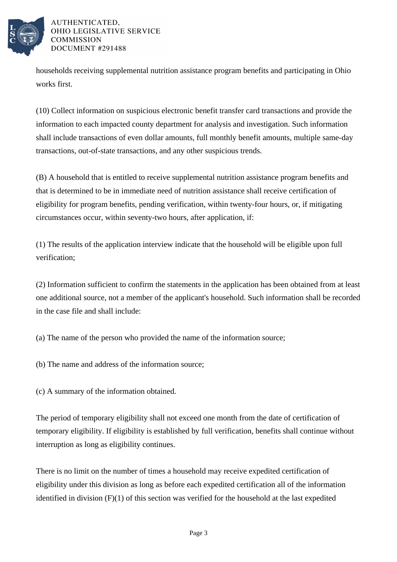

households receiving supplemental nutrition assistance program benefits and participating in Ohio works first.

(10) Collect information on suspicious electronic benefit transfer card transactions and provide the information to each impacted county department for analysis and investigation. Such information shall include transactions of even dollar amounts, full monthly benefit amounts, multiple same-day transactions, out-of-state transactions, and any other suspicious trends.

(B) A household that is entitled to receive supplemental nutrition assistance program benefits and that is determined to be in immediate need of nutrition assistance shall receive certification of eligibility for program benefits, pending verification, within twenty-four hours, or, if mitigating circumstances occur, within seventy-two hours, after application, if:

(1) The results of the application interview indicate that the household will be eligible upon full verification;

(2) Information sufficient to confirm the statements in the application has been obtained from at least one additional source, not a member of the applicant's household. Such information shall be recorded in the case file and shall include:

(a) The name of the person who provided the name of the information source;

(b) The name and address of the information source;

(c) A summary of the information obtained.

The period of temporary eligibility shall not exceed one month from the date of certification of temporary eligibility. If eligibility is established by full verification, benefits shall continue without interruption as long as eligibility continues.

There is no limit on the number of times a household may receive expedited certification of eligibility under this division as long as before each expedited certification all of the information identified in division (F)(1) of this section was verified for the household at the last expedited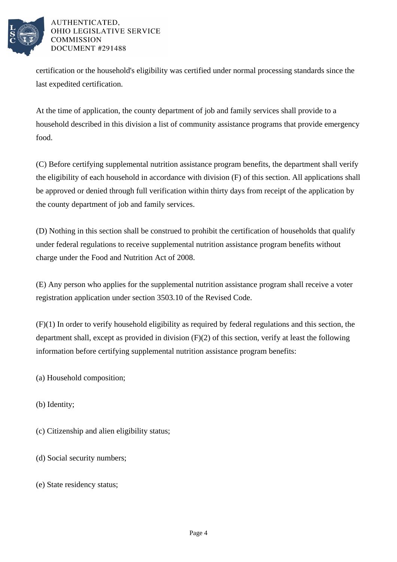

certification or the household's eligibility was certified under normal processing standards since the last expedited certification.

At the time of application, the county department of job and family services shall provide to a household described in this division a list of community assistance programs that provide emergency food.

(C) Before certifying supplemental nutrition assistance program benefits, the department shall verify the eligibility of each household in accordance with division (F) of this section. All applications shall be approved or denied through full verification within thirty days from receipt of the application by the county department of job and family services.

(D) Nothing in this section shall be construed to prohibit the certification of households that qualify under federal regulations to receive supplemental nutrition assistance program benefits without charge under the Food and Nutrition Act of 2008.

(E) Any person who applies for the supplemental nutrition assistance program shall receive a voter registration application under section 3503.10 of the Revised Code.

(F)(1) In order to verify household eligibility as required by federal regulations and this section, the department shall, except as provided in division (F)(2) of this section, verify at least the following information before certifying supplemental nutrition assistance program benefits:

(a) Household composition;

(b) Identity;

- (c) Citizenship and alien eligibility status;
- (d) Social security numbers;
- (e) State residency status;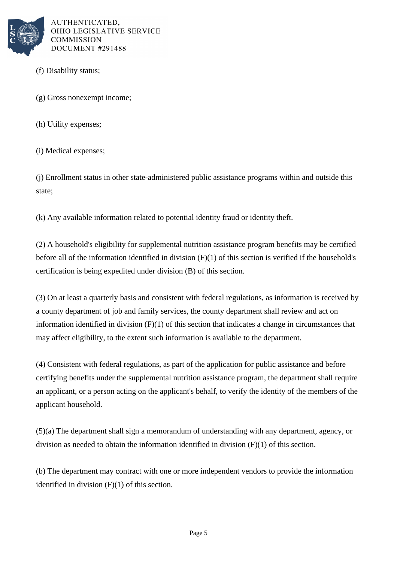

- (f) Disability status;
- (g) Gross nonexempt income;
- (h) Utility expenses;
- (i) Medical expenses;

(j) Enrollment status in other state-administered public assistance programs within and outside this state;

(k) Any available information related to potential identity fraud or identity theft.

(2) A household's eligibility for supplemental nutrition assistance program benefits may be certified before all of the information identified in division (F)(1) of this section is verified if the household's certification is being expedited under division (B) of this section.

(3) On at least a quarterly basis and consistent with federal regulations, as information is received by a county department of job and family services, the county department shall review and act on information identified in division (F)(1) of this section that indicates a change in circumstances that may affect eligibility, to the extent such information is available to the department.

(4) Consistent with federal regulations, as part of the application for public assistance and before certifying benefits under the supplemental nutrition assistance program, the department shall require an applicant, or a person acting on the applicant's behalf, to verify the identity of the members of the applicant household.

(5)(a) The department shall sign a memorandum of understanding with any department, agency, or division as needed to obtain the information identified in division (F)(1) of this section.

(b) The department may contract with one or more independent vendors to provide the information identified in division (F)(1) of this section.